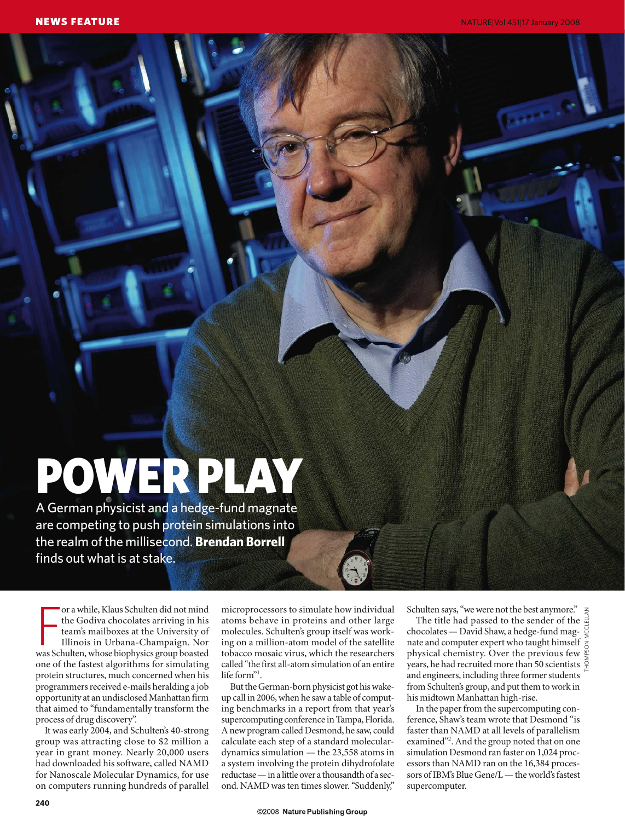# POWER PLAY

A German physicist and a hedge-fund magnate are competing to push protein simulations into the realm of the millisecond. **Brendan Borrell** finds out what is at stake.

or a while, Klaus Schulten did not mind<br>the Godiva chocolates arriving in his<br>team's mailboxes at the University of<br>Illinois in Urbana-Champaign. Nor<br>was Schulten, whose biophysics group boasted or a while, Klaus Schulten did not mind the Godiva chocolates arriving in his team's mailboxes at the University of Illinois in Urbana-Champaign. Nor one of the fastest algorithms for simulating protein structures, much concerned when his programmers received e-mails heralding a job opportunity at an undisclosed Manhattan firm that aimed to "fundamentally transform the process of drug discovery".

It was early 2004, and Schulten's 40-strong group was attracting close to \$2 million a year in grant money. Nearly 20,000 users had downloaded his software, called NAMD for Nanoscale Molecular Dynamics, for use on computers running hundreds of parallel

microprocessors to simulate how individual atoms behave in proteins and other large molecules. Schulten's group itself was working on a million-atom model of the satellite tobacco mosaic virus, which the researchers called "the first all-atom simulation of an entire life form"<sup>1</sup>.

But the German-born physicist got his wakeup call in 2006, when he saw a table of computing benchmarks in a report from that year's supercomputing conference in Tampa, Florida. A new program called Desmond, he saw, could calculate each step of a standard moleculardynamics simulation — the 23,558 atoms in a system involving the protein dihydrofolate reductase — in a little over a thousandth of a second. NAMD was ten times slower. "Suddenly,"

Schulten says, "we were not the best anymore."

The title had passed to the sender of the  $\frac{3}{2}$ chocolates — David Shaw, a hedge-fund magnate and computer expert who taught himself  $\frac{1}{6}$ physical chemistry. Over the previous few years, he had recruited more than 50 scientists  $\frac{1}{2}$ and engineers, including three former students from Schulten's group, and put them to work in his midtown Manhattan high-rise. THOMPSON-MCCLELLAN

In the paper from the supercomputing conference, Shaw's team wrote that Desmond "is faster than NAMD at all levels of parallelism examined"<sup>2</sup>. And the group noted that on one simulation Desmond ran faster on 1,024 processors than NAMD ran on the 16,384 processors of IBM's Blue Gene/L — the world's fastest supercomputer.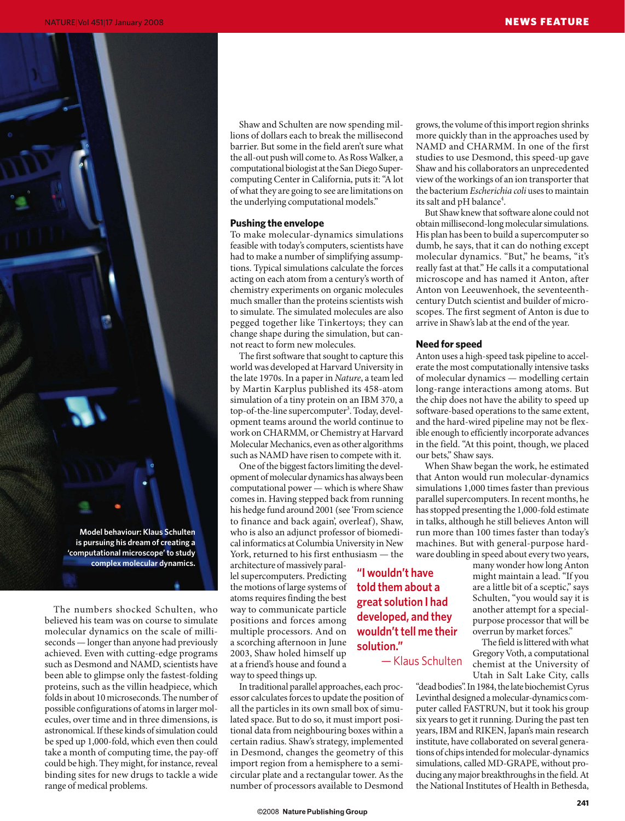

The numbers shocked Schulten, who believed his team was on course to simulate molecular dynamics on the scale of milliseconds — longer than anyone had previously achieved. Even with cutting-edge programs such as Desmond and NAMD, scientists have been able to glimpse only the fastest-folding proteins, such as the villin headpiece, which folds in about 10 microseconds. The number of possible configurations of atoms in larger molecules, over time and in three dimensions, is astronomical. If these kinds of simulation could be sped up 1,000-fold, which even then could take a month of computing time, the pay-off could be high. They might, for instance, reveal binding sites for new drugs to tackle a wide range of medical problems.

Shaw and Schulten are now spending millions of dollars each to break the millisecond barrier. But some in the field aren't sure what the all-out push will come to. As Ross Walker, a computational biologist at the San Diego Supercomputing Center in California, puts it: "A lot of what they are going to see are limitations on the underlying computational models."

#### **Pushing the envelope**

To make molecular-dynamics simulations feasible with today's computers, scientists have had to make a number of simplifying assumptions. Typical simulations calculate the forces acting on each atom from a century's worth of chemistry experiments on organic molecules much smaller than the proteins scientists wish to simulate. The simulated molecules are also pegged together like Tinkertoys; they can change shape during the simulation, but cannot react to form new molecules.

The first software that sought to capture this world was developed at Harvard University in the late 1970s. In a paper in *Nature*, a team led by Martin Karplus published its 458-atom simulation of a tiny protein on an IBM 370, a top-of-the-line supercomputer<sup>3</sup>. Today, development teams around the world continue to work on CHARMM, or Chemistry at Harvard Molecular Mechanics, even as other algorithms such as NAMD have risen to compete with it.

One of the biggest factors limiting the development of molecular dynamics has always been computational power — which is where Shaw comes in. Having stepped back from running his hedge fund around 2001 (see 'From science to finance and back again', overleaf), Shaw, who is also an adjunct professor of biomedical informatics at Columbia University in New York, returned to his first enthusiasm — the

architecture of massively parallel supercomputers. Predicting the motions of large systems of atoms requires finding the best way to communicate particle positions and forces among multiple processors. And on a scorching afternoon in June 2003, Shaw holed himself up at a friend's house and found a way to speed things up.

In traditional parallel approaches, each processor calculates forces to update the position of all the particles in its own small box of simulated space. But to do so, it must import positional data from neighbouring boxes within a certain radius. Shaw's strategy, implemented in Desmond, changes the geometry of this import region from a hemisphere to a semicircular plate and a rectangular tower. As the number of processors available to Desmond

©2008 Nature Publishing Group

grows, the volume of this import region shrinks more quickly than in the approaches used by NAMD and CHARMM. In one of the first studies to use Desmond, this speed-up gave Shaw and his collaborators an unprecedented view of the workings of an ion transporter that the bacterium *Escherichia coli* uses to maintain its salt and pH balance<sup>4</sup>.

But Shaw knew that software alone could not obtain millisecond-long molecular simulations. His plan has been to build a supercomputer so dumb, he says, that it can do nothing except molecular dynamics. "But," he beams, "it's really fast at that." He calls it a computational microscope and has named it Anton, after Anton von Leeuwenhoek, the seventeenthcentury Dutch scientist and builder of microscopes. The first segment of Anton is due to arrive in Shaw's lab at the end of the year.

#### **Need for speed**

Anton uses a high-speed task pipeline to accelerate the most computationally intensive tasks of molecular dynamics — modelling certain long-range interactions among atoms. But the chip does not have the ability to speed up software-based operations to the same extent, and the hard-wired pipeline may not be flexible enough to efficiently incorporate advances in the field. "At this point, though, we placed our bets," Shaw says.

When Shaw began the work, he estimated that Anton would run molecular-dynamics simulations 1,000 times faster than previous parallel supercomputers. In recent months, he has stopped presenting the 1,000-fold estimate in talks, although he still believes Anton will run more than 100 times faster than today's machines. But with general-purpose hardware doubling in speed about every two years,

many wonder how long Anton might maintain a lead. "If you are a little bit of a sceptic," says Schulten, "you would say it is another attempt for a specialpurpose processor that will be overrun by market forces."

The field is littered with what Gregory Voth, a computational chemist at the University of Utah in Salt Lake City, calls

"dead bodies". In 1984, the late biochemist Cyrus Levinthal designed a molecular-dynamics computer called FASTRUN, but it took his group six years to get it running. During the past ten years, IBM and RIKEN, Japan's main research institute, have collaborated on several generations of chips intended for molecular-dynamics simulations, called MD-GRAPE, without producing any major breakthroughs in the field. At the National Institutes of Health in Bethesda,

**"I wouldn't have told them about a great solution I had developed, and they wouldn't tell me their solution."**

— Klaus Schulten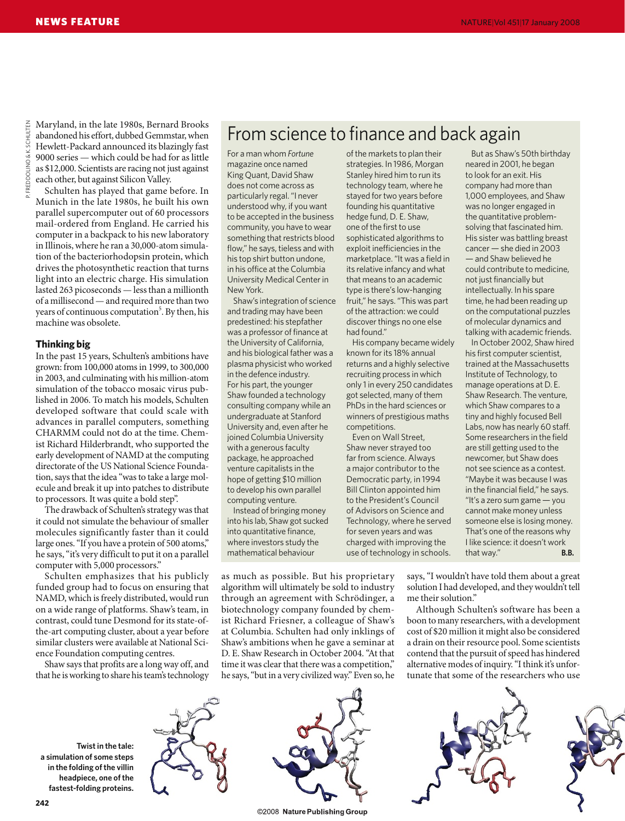**REDDOLINO & K. SCHULTEN** P. FREDDOLINO & K. SCHULTEN

Maryland, in the late 1980s, Bernard Brooks abandoned his effort, dubbed Gemmstar, when Hewlett-Packard announced its blazingly fast 9000 series — which could be had for as little as \$12,000. Scientists are racing not just against each other, but against Silicon Valley.

Schulten has played that game before. In Munich in the late 1980s, he built his own parallel supercomputer out of 60 processors mail-ordered from England. He carried his computer in a backpack to his new laboratory in Illinois, where he ran a 30,000-atom simulation of the bacteriorhodopsin protein, which drives the photosynthetic reaction that turns light into an electric charge. His simulation lasted 263 picoseconds — less than a millionth of a millisecond — and required more than two years of continuous computation<sup>5</sup>. By then, his machine was obsolete.

#### **Thinking big**

In the past 15 years, Schulten's ambitions have grown: from 100,000 atoms in 1999, to 300,000 in 2003, and culminating with his million-atom simulation of the tobacco mosaic virus published in 2006. To match his models, Schulten developed software that could scale with advances in parallel computers, something CHARMM could not do at the time. Chemist Richard Hilderbrandt, who supported the early development of NAMD at the computing directorate of the US National Science Foundation, says that the idea "was to take a large molecule and break it up into patches to distribute to processors. It was quite a bold step".

The drawback of Schulten's strategy was that it could not simulate the behaviour of smaller molecules significantly faster than it could large ones. "If you have a protein of 500 atoms," he says, "it's very difficult to put it on a parallel computer with 5,000 processors."

Schulten emphasizes that his publicly funded group had to focus on ensuring that NAMD, which is freely distributed, would run on a wide range of platforms. Shaw's team, in contrast, could tune Desmond for its state-ofthe-art computing cluster, about a year before similar clusters were available at National Science Foundation computing centres.

Shaw says that profits are a long way off, and that he is working to share his team's technology

## From science to finance and back again

For a man whom *Fortune* magazine once named King Quant, David Shaw does not come across as particularly regal. "I never understood why, if you want to be accepted in the business community, you have to wear something that restricts blood flow," he says, tieless and with his top shirt button undone, in his office at the Columbia University Medical Center in New York.

Shaw's integration of science and trading may have been predestined: his stepfather was a professor of finance at the University of California, and his biological father was a plasma physicist who worked in the defence industry. For his part, the younger Shaw founded a technology consulting company while an undergraduate at Stanford University and, even after he joined Columbia University with a generous faculty package, he approached venture capitalists in the hope of getting \$10 million to develop his own parallel computing venture.

Instead of bringing money into his lab, Shaw got sucked into quantitative finance, where investors study the mathematical behaviour

of the markets to plan their strategies. In 1986, Morgan Stanley hired him to run its technology team, where he stayed for two years before founding his quantitative hedge fund, D. E. Shaw, one of the first to use sophisticated algorithms to exploit inefficiencies in the marketplace. "It was a field in its relative infancy and what that means to an academic type is there's low-hanging fruit," he says. "This was part of the attraction: we could discover things no one else had found."

His company became widely known for its 18% annual returns and a highly selective recruiting process in which only 1 in every 250 candidates got selected, many of them PhDs in the hard sciences or winners of prestigious maths competitions.

Even on Wall Street, Shaw never strayed too far from science. Always a major contributor to the Democratic party, in 1994 Bill Clinton appointed him to the President's Council of Advisors on Science and Technology, where he served for seven years and was charged with improving the use of technology in schools.

But as Shaw's 50th birthday neared in 2001, he began to look for an exit. His company had more than 1,000 employees, and Shaw was no longer engaged in the quantitative problemsolving that fascinated him. His sister was battling breast cancer — she died in 2003 — and Shaw believed he could contribute to medicine, not just financially but intellectually. In his spare time, he had been reading up on the computational puzzles of molecular dynamics and talking with academic friends.

In October 2002, Shaw hired his first computer scientist, trained at the Massachusetts Institute of Technology, to manage operations at D. E. Shaw Research. The venture, which Shaw compares to a tiny and highly focused Bell Labs, now has nearly 60 staff. Some researchers in the field are still getting used to the newcomer, but Shaw does not see science as a contest. "Maybe it was because I was in the financial field," he says. "It's a zero sum game — you cannot make money unless someone else is losing money. That's one of the reasons why I like science: it doesn't work that way." **B.B.**

as much as possible. But his proprietary algorithm will ultimately be sold to industry through an agreement with Schrödinger, a biotechnology company founded by chemist Richard Friesner, a colleague of Shaw's at Columbia. Schulten had only inklings of Shaw's ambitions when he gave a seminar at D. E. Shaw Research in October 2004. "At that time it was clear that there was a competition," he says, "but in a very civilized way." Even so, he

says, "I wouldn't have told them about a great solution I had developed, and they wouldn't tell me their solution."

Although Schulten's software has been a boon to many researchers, with a development cost of \$20 million it might also be considered a drain on their resource pool. Some scientists contend that the pursuit of speed has hindered alternative modes of inquiry. "I think it's unfortunate that some of the researchers who use

**Twist in the tale: a simulation of some steps in the folding of the villin headpiece, one of the fastest-folding proteins.** 





©2008 Nature Publishing Group